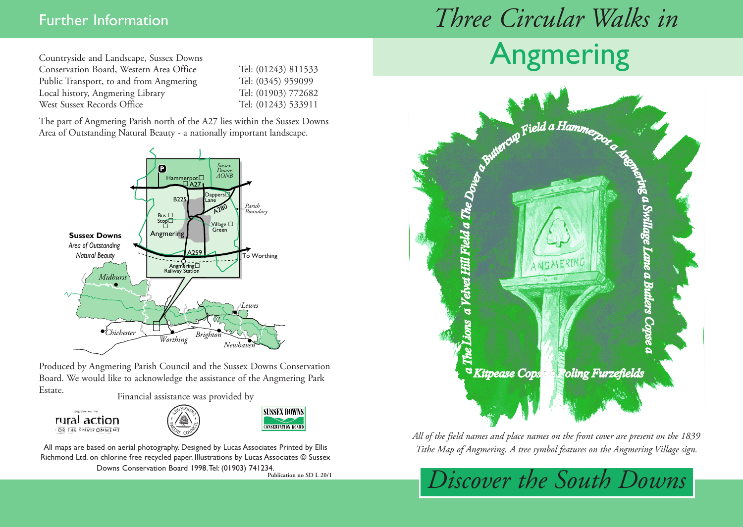# Further Information *Three Circular Walks in*

Countryside and Landscape, Sussex Downs Conservation Board, Western Area Office Tel: (01243) 811533 Public Transport, to and from Angmering Tel: (0345) 959099 Local history, Angmering Library Tel: (01903) 772682 West Sussex Records Office Tel: (01243) 533911

The part of Angmering Parish north of the A27 lies within the Sussex Downs Area of Outstanding Natural Beauty - a nationally important landscape.



Produced by Angmering Parish Council and the Sussex Downs Conservation Board. We would like to acknowledge the assistance of the Angmering Park Estate. Financial assistance was provided by







All maps are based on aerial photography. Designed by Lucas Associates Printed by Ellis Richmond Ltd. on chlorine free recycled paper. Illustrations by Lucas Associates © Sussex

Downs Conservation Board 1998.Tel: (01903) 741234.

**Publication no SD L 20/1**





*All of the field names and place names on the front cover are present on the 1839 Tithe Map of Angmering. A tree symbol features on the Angmering Village sign.* 

*Discover the South Downs*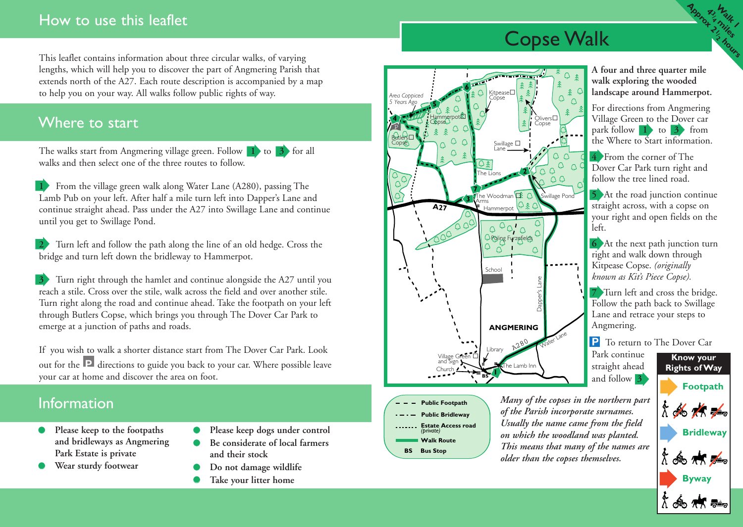#### How to use this leaflet

This leaflet contains information about three circular walks, of varying lengths, which will help you to discover the part of Angmering Parish that extends north of the A27. Each route description is accompanied by a map to help you on your way. All walks follow public rights of way.

#### Where to start

The walks start from Angmering village green. Follow **1** to **3** for all walks and then select one of the three routes to follow.

**1** From the village green walk along Water Lane (A280), passing The Lamb Pub on your left. After half a mile turn left into Dapper's Lane and continue straight ahead. Pass under the A27 into Swillage Lane and continue until you get to Swillage Pond.

**2**  Turn left and follow the path along the line of an old hedge. Cross the bridge and turn left down the bridleway to Hammerpot.

**3** Turn right through the hamlet and continue alongside the A27 until you reach a stile. Cross over the stile, walk across the field and over another stile. Turn right along the road and continue ahead. Take the footpath on your left through Butlers Copse, which brings you through The Dover Car Park to emerge at a junction of paths and roads.

If you wish to walk a shorter distance start from The D over Car Park. Look out for the **P** directions to guide you back to your car. Where possible leave your car at home and disco ver the area on foot.

### **Information**

- **● Please keep to the footpaths and bridleways as Angmering Park Estate is private**
- **● Wear sturdy footwear**
- **● Please keep dogs under control**
- **● Be considerate of local farmers and their stock**
- **● Do not damage wildlife**
- **● Take your litter home**



**Public Footpath Public Bridleway**

**Walk Route Estate Access road**

*(private)*

**BS Bus Stop**

Copse Walk

**A four and three quarter mile walk exploring the wooded landscape around Hammerpot.**

**Walk**<br>12th 1 **13**<br>13

**miles**

**hours**

**Approxy** 

For directions from Angmering Village Green to the Dover car park follow **1** to **3** from the Where to Start information.

**4** From the corner of The Dover Car Park turn right and follow the tree lined road.

**5** At the road junction continue straight across, with a copse on your right and open fields on the left.

**6** At the next path junction turn right and walk down through Kitpease Copse. *(originally known as Kit's Piece Copse).*

**7** Turn left and cross the bridge. Follow the path back to Swillage Lane and retrace your steps to Angmering.

**P** To return to The Dover Car

Park continue straight ahead and follow **3**

*Many of the copses in the northern par t of the Parish incorporate surnames. Usually the name came from the field on which the woodland was planted. This means that many of the names are older than the copses themselves.*

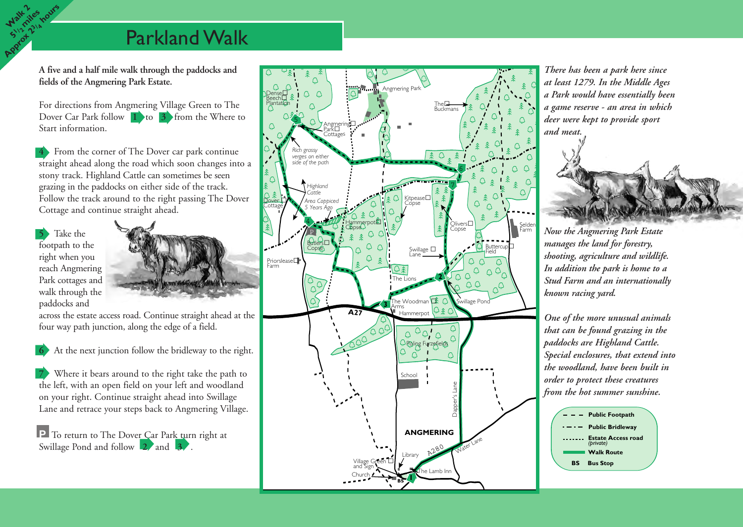## Parkland Walk

**A five and a half mile walk through the paddocks and fields of the Angmering Park Estate.**

For directions from Angmering Village Green to The Dover Car Park follow **1** to **3** from the Where to Start information.

**4** From the corner of The Dover car park continue straight ahead along the road which soon changes into a stony track. Highland Cattle can sometimes be seen grazing in the paddocks on either side of the track. Follow the track around to the right passing The Dover Cottage and continue straight ahead.

**5** Take the footpath to the right when you reach Angmering Park cottages and walk through the paddocks and

**Walk <sup>2</sup> 51/2 miles Approx 23/4 hours**



across the estate access road. Continue straight ahead at the four way path junction, along the edge of a field.

**6** At the next junction follow the bridleway to the right.

**7** Where it bears around to the right take the path to the left, with an open field on your left and woodland on your right. Continue straight ahead into Swillage Lane and retrace your steps back to Angmering Village.

**P** To return to The Dover Car Park turn right at Swillage Pond and follow **2** and **3** 



*There has been a park here since at least 1279. In the Middle Ages a Park would have essentially been a game reserve - an area in which deer were kept to provide sport*



*manages the land for forestry, shooting, agriculture and wildlife. In addition the park is home to a Stud Farm and an internationally known racing yard.*

*One of the more unusual animals that can be found grazing in the paddocks are Highland Cattle. Special enclosures, that extend into the woodland, have been built in order to protect these creatures from the hot summer sunshine.*